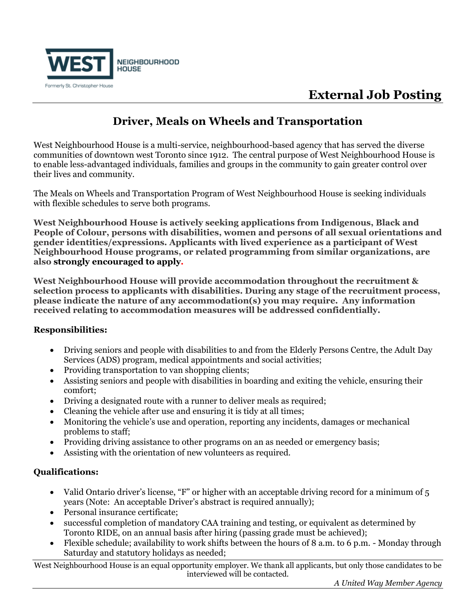

# **External Job Posting**

### **Driver, Meals on Wheels and Transportation**

West Neighbourhood House is a multi-service, neighbourhood-based agency that has served the diverse communities of downtown west Toronto since 1912. The central purpose of West Neighbourhood House is to enable less-advantaged individuals, families and groups in the community to gain greater control over their lives and community.

The Meals on Wheels and Transportation Program of West Neighbourhood House is seeking individuals with flexible schedules to serve both programs.

**West Neighbourhood House is actively seeking applications from Indigenous, Black and People of Colour, persons with disabilities, women and persons of all sexual orientations and gender identities/expressions. Applicants with lived experience as a participant of West Neighbourhood House programs, or related programming from similar organizations, are also strongly encouraged to apply.** 

**West Neighbourhood House will provide accommodation throughout the recruitment & selection process to applicants with disabilities. During any stage of the recruitment process, please indicate the nature of any accommodation(s) you may require. Any information received relating to accommodation measures will be addressed confidentially.**

### **Responsibilities:**

- Driving seniors and people with disabilities to and from the Elderly Persons Centre, the Adult Day Services (ADS) program, medical appointments and social activities;
- Providing transportation to van shopping clients;
- Assisting seniors and people with disabilities in boarding and exiting the vehicle, ensuring their comfort;
- Driving a designated route with a runner to deliver meals as required;
- Cleaning the vehicle after use and ensuring it is tidy at all times;
- Monitoring the vehicle's use and operation, reporting any incidents, damages or mechanical problems to staff;
- Providing driving assistance to other programs on an as needed or emergency basis;
- Assisting with the orientation of new volunteers as required.

### **Qualifications:**

- Valid Ontario driver's license, "F" or higher with an acceptable driving record for a minimum of 5 years (Note: An acceptable Driver's abstract is required annually);
- Personal insurance certificate;
- successful completion of mandatory CAA training and testing, or equivalent as determined by Toronto RIDE, on an annual basis after hiring (passing grade must be achieved);
- Flexible schedule; availability to work shifts between the hours of 8 a.m. to 6 p.m. Monday through Saturday and statutory holidays as needed;

West Neighbourhood House is an equal opportunity employer. We thank all applicants, but only those candidates to be interviewed will be contacted.